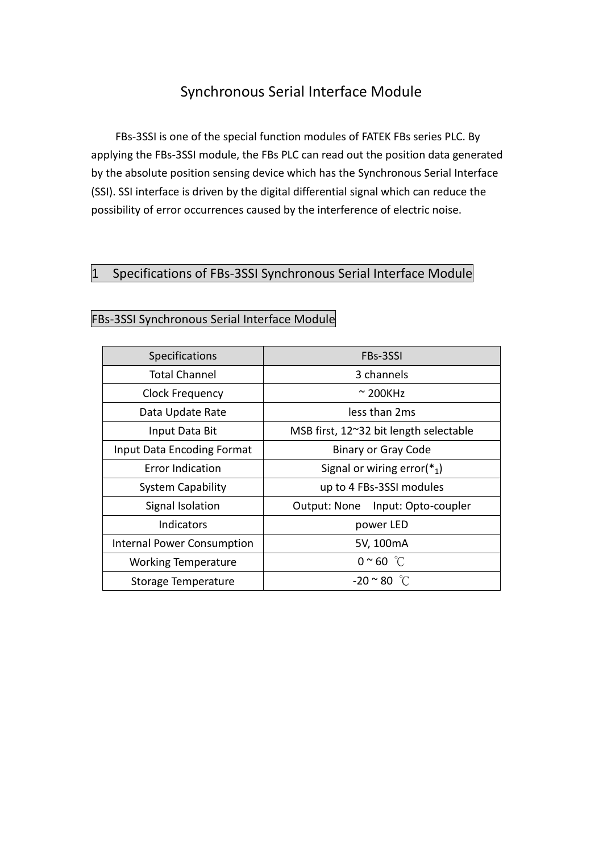# Synchronous Serial Interface Module

FBs-3SSI is one of the special function modules of FATEK FBs series PLC. By applying the FBs-3SSI module, the FBs PLC can read out the position data generated by the absolute position sensing device which has the Synchronous Serial Interface (SSI). SSI interface is driven by the digital differential signal which can reduce the possibility of error occurrences caused by the interference of electric noise.

### 1 Specifications of FBs-3SSI Synchronous Serial Interface Module

| Specifications                    | FBs-3SSI                               |  |  |
|-----------------------------------|----------------------------------------|--|--|
| <b>Total Channel</b>              | 3 channels                             |  |  |
| <b>Clock Frequency</b>            | $\sim$ 200KHz                          |  |  |
| Data Update Rate                  | less than 2ms                          |  |  |
| Input Data Bit                    | MSB first, 12~32 bit length selectable |  |  |
| Input Data Encoding Format        | <b>Binary or Gray Code</b>             |  |  |
| <b>Error Indication</b>           | Signal or wiring error( $*_1$ )        |  |  |
| <b>System Capability</b>          | up to 4 FBs-3SSI modules               |  |  |
| Signal Isolation                  | Input: Opto-coupler<br>Output: None    |  |  |
| <b>Indicators</b>                 | power LED                              |  |  |
| <b>Internal Power Consumption</b> | 5V, 100mA                              |  |  |
| <b>Working Temperature</b>        | $0 \sim 60$ °C                         |  |  |
| Storage Temperature               | $-20 \approx 80$ °C                    |  |  |

### FBs-3SSI Synchronous Serial Interface Module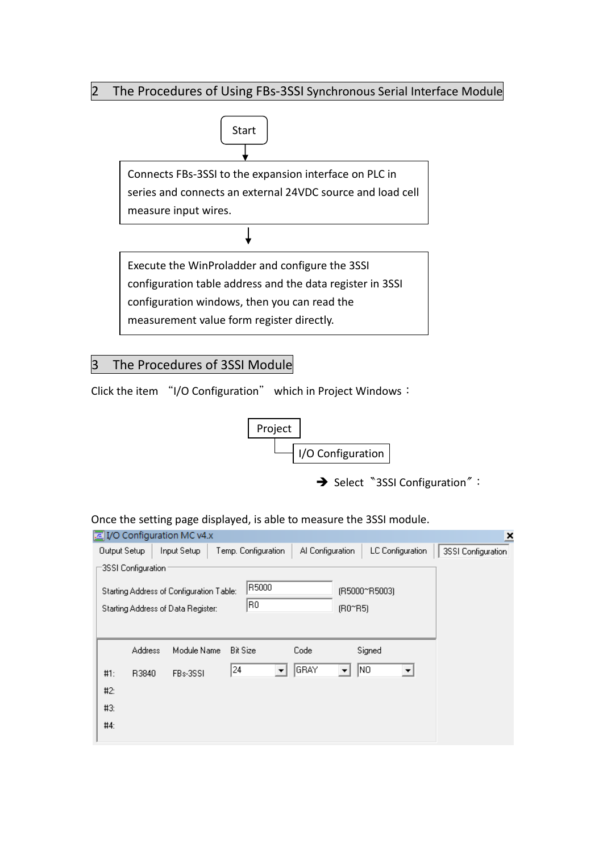### 2 The Procedures of Using FBs-3SSI Synchronous Serial Interface Module



## 3 The Procedures of 3SSI Module

Click the item "I/O Configuration" which in Project Windows:



→ Select <sup>N</sup>3SSI Configuration<sup>"</sup>:

#### Once the setting page displayed, is able to measure the 3SSI module.

| I/O Configuration MC v4.x<br>×                                                                                                         |                    |             |                     |                              |                  |                    |
|----------------------------------------------------------------------------------------------------------------------------------------|--------------------|-------------|---------------------|------------------------------|------------------|--------------------|
| Output Setup                                                                                                                           |                    | Input Setup | Temp. Configuration | Al Configuration             | LC Configuration | 3SSI Configuration |
|                                                                                                                                        | 3SSI Configuration |             |                     |                              |                  |                    |
| R5000<br>Starting Address of Configuration Table:<br>(R5000~R5003)<br>R0<br>(R0 <sup>o</sup> R5)<br>Starting Address of Data Register: |                    |             |                     |                              |                  |                    |
|                                                                                                                                        |                    |             |                     |                              |                  |                    |
|                                                                                                                                        | <b>Address</b>     | Module Name | <b>Bit Size</b>     | Code                         | Signed           |                    |
| #1:                                                                                                                                    | R3840              | FBs-3SSI    | 24                  | GRAY<br>$\blacktriangledown$ | NO<br>▼          |                    |
| #2:                                                                                                                                    |                    |             |                     |                              |                  |                    |
| #3:                                                                                                                                    |                    |             |                     |                              |                  |                    |
| #4:                                                                                                                                    |                    |             |                     |                              |                  |                    |
|                                                                                                                                        |                    |             |                     |                              |                  |                    |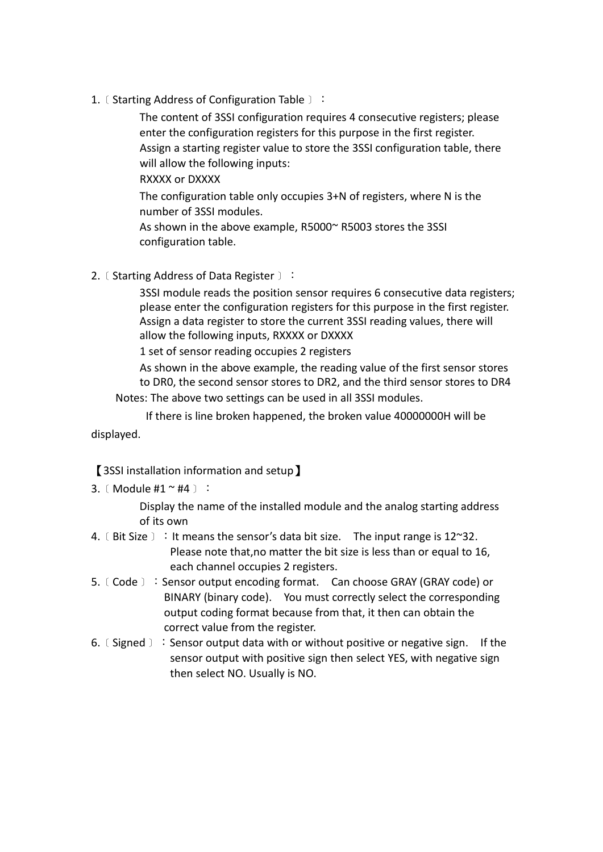1. [ Starting Address of Configuration Table ]:

The content of 3SSI configuration requires 4 consecutive registers; please enter the configuration registers for this purpose in the first register. Assign a starting register value to store the 3SSI configuration table, there will allow the following inputs:

RXXXX or DXXXX

The configuration table only occupies 3+N of registers, where N is the number of 3SSI modules.

As shown in the above example, R5000~ R5003 stores the 3SSI configuration table.

2. [ Starting Address of Data Register  $)$ :

3SSI module reads the position sensor requires 6 consecutive data registers; please enter the configuration registers for this purpose in the first register. Assign a data register to store the current 3SSI reading values, there will allow the following inputs, RXXXX or DXXXX

1 set of sensor reading occupies 2 registers

As shown in the above example, the reading value of the first sensor stores to DR0, the second sensor stores to DR2, and the third sensor stores to DR4

Notes: The above two settings can be used in all 3SSI modules.

If there is line broken happened, the broken value 40000000H will be

displayed.

### 【3SSI installation information and setup】

3.﹝Module #1 ~ #4﹞:

Display the name of the installed module and the analog starting address of its own

- 4.  $($  Bit Size  $)$  : It means the sensor's data bit size. The input range is 12~32. Please note that, no matter the bit size is less than or equal to 16. each channel occupies 2 registers.
- 5. [Code ]: Sensor output encoding format. Can choose GRAY (GRAY code) or BINARY (binary code). You must correctly select the corresponding output coding format because from that, it then can obtain the correct value from the register.
- 6.﹝Signed﹞:Sensor output data with or without positive or negative sign. If the sensor output with positive sign then select YES, with negative sign then select NO. Usually is NO.